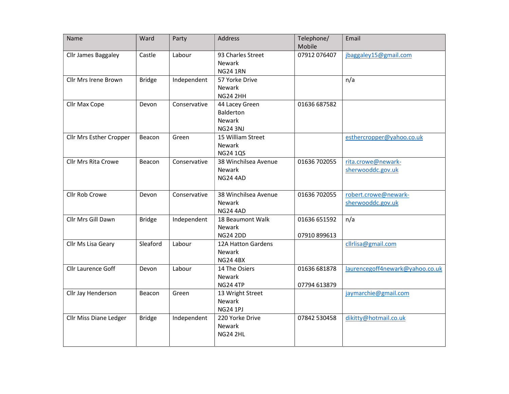| Name                       | Ward          | Party        | <b>Address</b>                                           | Telephone/<br>Mobile         | Email                                     |
|----------------------------|---------------|--------------|----------------------------------------------------------|------------------------------|-------------------------------------------|
| Cllr James Baggaley        | Castle        | Labour       | 93 Charles Street<br>Newark<br><b>NG24 1RN</b>           | 07912 076407                 | jbaggaley15@gmail.com                     |
| Cllr Mrs Irene Brown       | <b>Bridge</b> | Independent  | 57 Yorke Drive<br>Newark<br><b>NG24 2HH</b>              |                              | n/a                                       |
| Cllr Max Cope              | Devon         | Conservative | 44 Lacey Green<br>Balderton<br>Newark<br><b>NG24 3NJ</b> | 01636 687582                 |                                           |
| Cllr Mrs Esther Cropper    | Beacon        | Green        | 15 William Street<br>Newark<br><b>NG24 1QS</b>           |                              | esthercropper@yahoo.co.uk                 |
| <b>Cllr Mrs Rita Crowe</b> | Beacon        | Conservative | 38 Winchilsea Avenue<br>Newark<br><b>NG24 4AD</b>        | 01636 702055                 | rita.crowe@newark-<br>sherwooddc.gov.uk   |
| Cllr Rob Crowe             | Devon         | Conservative | 38 Winchilsea Avenue<br><b>Newark</b><br><b>NG24 4AD</b> | 01636 702055                 | robert.crowe@newark-<br>sherwooddc.gov.uk |
| Cllr Mrs Gill Dawn         | <b>Bridge</b> | Independent  | 18 Beaumont Walk<br>Newark<br><b>NG24 2DD</b>            | 01636 651592<br>07910 899613 | n/a                                       |
| Cllr Ms Lisa Geary         | Sleaford      | Labour       | 12A Hatton Gardens<br>Newark<br><b>NG24 4BX</b>          |                              | cllrlisa@gmail.com                        |
| Cllr Laurence Goff         | Devon         | Labour       | 14 The Osiers<br>Newark<br><b>NG24 4TP</b>               | 01636 681878<br>07794 613879 | laurencegoff4newark@yahoo.co.uk           |
| Cllr Jay Henderson         | Beacon        | Green        | 13 Wright Street<br>Newark<br><b>NG24 1PJ</b>            |                              | jaymarchie@gmail.com                      |
| Cllr Miss Diane Ledger     | <b>Bridge</b> | Independent  | 220 Yorke Drive<br>Newark<br><b>NG24 2HL</b>             | 07842 530458                 | dikitty@hotmail.co.uk                     |